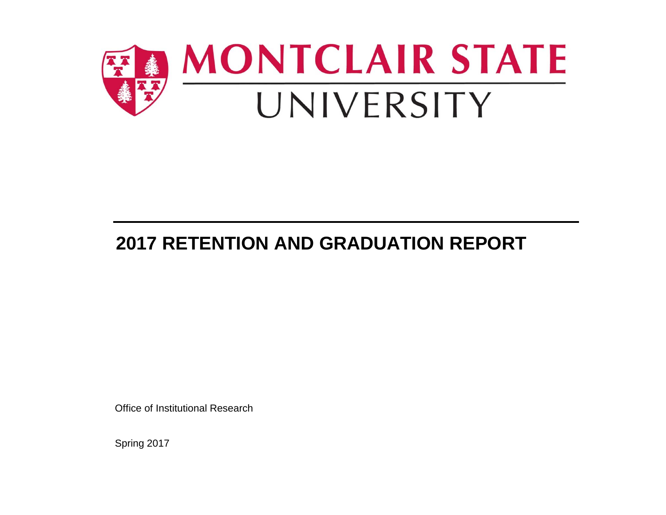

# **2017 RETENTION AND GRADUATION REPORT**

Office of Institutional Research

Spring 2017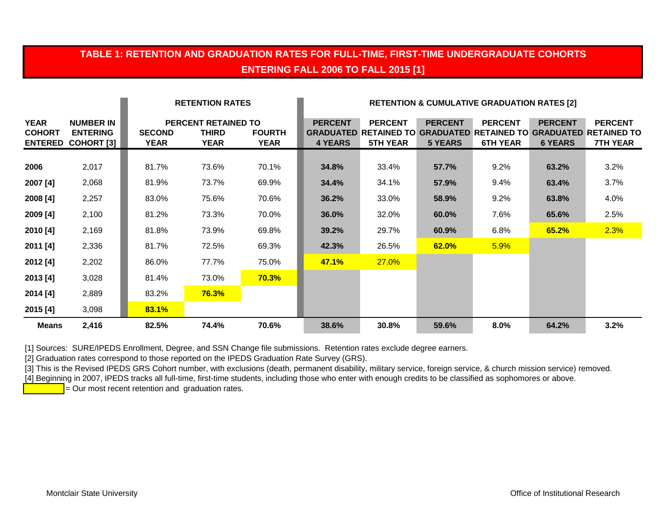# **TABLE 1: RETENTION AND GRADUATION RATES FOR FULL-TIME, FIRST-TIME UNDERGRADUATE COHORTS ENTERING FALL 2006 TO FALL 2015 [1]**

|                                                |                                                          |                              | <b>RETENTION RATES</b>                                    |                              | <b>RETENTION &amp; CUMULATIVE GRADUATION RATES [2]</b> |                                   |                                  |                                   |                                  |                                                                                                               |
|------------------------------------------------|----------------------------------------------------------|------------------------------|-----------------------------------------------------------|------------------------------|--------------------------------------------------------|-----------------------------------|----------------------------------|-----------------------------------|----------------------------------|---------------------------------------------------------------------------------------------------------------|
| <b>YEAR</b><br><b>COHORT</b><br><b>ENTERED</b> | <b>NUMBER IN</b><br><b>ENTERING</b><br><b>COHORT [3]</b> | <b>SECOND</b><br><b>YEAR</b> | <b>PERCENT RETAINED TO</b><br><b>THIRD</b><br><b>YEAR</b> | <b>FOURTH</b><br><b>YEAR</b> | <b>PERCENT</b><br>4 YEARS                              | <b>PERCENT</b><br><b>5TH YEAR</b> | <b>PERCENT</b><br><b>5 YEARS</b> | <b>PERCENT</b><br><b>6TH YEAR</b> | <b>PERCENT</b><br><b>6 YEARS</b> | <b>PERCENT</b><br><b>GRADUATED RETAINED TO GRADUATED RETAINED TO GRADUATED RETAINED TO</b><br><b>7TH YEAR</b> |
| 2006                                           | 2,017                                                    | 81.7%                        | 73.6%                                                     | 70.1%                        | 34.8%                                                  | 33.4%                             | 57.7%                            | $9.2\%$                           | 63.2%                            | 3.2%                                                                                                          |
| 2007 [4]                                       | 2,068                                                    | 81.9%                        | 73.7%                                                     | 69.9%                        | 34.4%                                                  | 34.1%                             | 57.9%                            | 9.4%                              | 63.4%                            | 3.7%                                                                                                          |
| 2008 [4]                                       | 2,257                                                    | 83.0%                        | 75.6%                                                     | 70.6%                        | 36.2%                                                  | 33.0%                             | 58.9%                            | $9.2\%$                           | 63.8%                            | 4.0%                                                                                                          |
| 2009 [4]                                       | 2,100                                                    | 81.2%                        | 73.3%                                                     | 70.0%                        | 36.0%                                                  | 32.0%                             | 60.0%                            | 7.6%                              | 65.6%                            | 2.5%                                                                                                          |
| 2010 [4]                                       | 2,169                                                    | 81.8%                        | 73.9%                                                     | 69.8%                        | 39.2%                                                  | 29.7%                             | 60.9%                            | 6.8%                              | 65.2%                            | 2.3%                                                                                                          |
| 2011 [4]                                       | 2,336                                                    | 81.7%                        | 72.5%                                                     | 69.3%                        | 42.3%                                                  | 26.5%                             | 62.0%                            | 5.9%                              |                                  |                                                                                                               |
| 2012 [4]                                       | 2,202                                                    | 86.0%                        | 77.7%                                                     | 75.0%                        | 47.1%                                                  | 27.0%                             |                                  |                                   |                                  |                                                                                                               |
| 2013 [4]                                       | 3,028                                                    | 81.4%                        | 73.0%                                                     | 70.3%                        |                                                        |                                   |                                  |                                   |                                  |                                                                                                               |
| 2014 [4]                                       | 2,889                                                    | 83.2%                        | 76.3%                                                     |                              |                                                        |                                   |                                  |                                   |                                  |                                                                                                               |
| 2015 [4]                                       | 3,098                                                    | 83.1%                        |                                                           |                              |                                                        |                                   |                                  |                                   |                                  |                                                                                                               |
| <b>Means</b>                                   | 2,416                                                    | 82.5%                        | 74.4%                                                     | 70.6%                        | 38.6%                                                  | 30.8%                             | 59.6%                            | 8.0%                              | 64.2%                            | 3.2%                                                                                                          |

[1] Sources: SURE/IPEDS Enrollment, Degree, and SSN Change file submissions. Retention rates exclude degree earners.

[2] Graduation rates correspond to those reported on the IPEDS Graduation Rate Survey (GRS).

[3] This is the Revised IPEDS GRS Cohort number, with exclusions (death, permanent disability, military service, foreign service, & church mission service) removed.

[4] Beginning in 2007, IPEDS tracks all full-time, first-time students, including those who enter with enough credits to be classified as sophomores or above.

 $\overline{P}$  = Our most recent retention and graduation rates.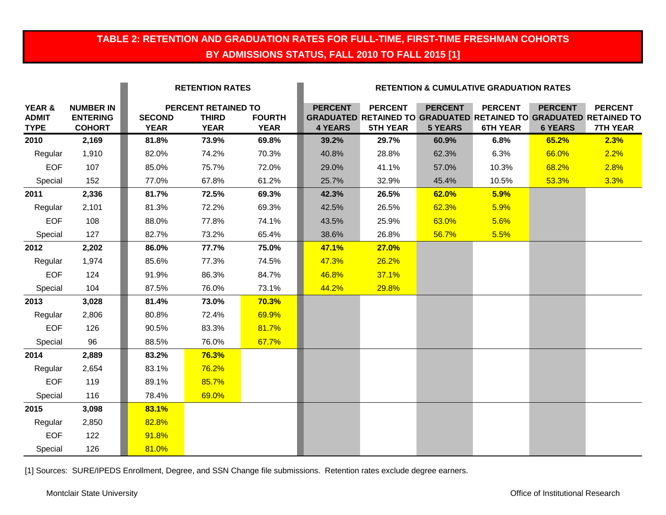# **TABLE 2: RETENTION AND GRADUATION RATES FOR FULL-TIME, FIRST-TIME FRESHMAN COHORTS BY ADMISSIONS STATUS, FALL 2010 TO FALL 2015 [1]**

|                                       |                                                      |                              | <b>RETENTION RATES</b>                             |                              |                                  | <b>RETENTION &amp; CUMULATIVE GRADUATION RATES</b> |                                  |                                   |                                  |                                                                                                               |
|---------------------------------------|------------------------------------------------------|------------------------------|----------------------------------------------------|------------------------------|----------------------------------|----------------------------------------------------|----------------------------------|-----------------------------------|----------------------------------|---------------------------------------------------------------------------------------------------------------|
| YEAR &<br><b>ADMIT</b><br><b>TYPE</b> | <b>NUMBER IN</b><br><b>ENTERING</b><br><b>COHORT</b> | <b>SECOND</b><br><b>YEAR</b> | PERCENT RETAINED TO<br><b>THIRD</b><br><b>YEAR</b> | <b>FOURTH</b><br><b>YEAR</b> | <b>PERCENT</b><br><b>4 YEARS</b> | <b>PERCENT</b><br><b>5TH YEAR</b>                  | <b>PERCENT</b><br><b>5 YEARS</b> | <b>PERCENT</b><br><b>6TH YEAR</b> | <b>PERCENT</b><br><b>6 YEARS</b> | <b>PERCENT</b><br><b>GRADUATED RETAINED TO GRADUATED RETAINED TO GRADUATED RETAINED TO</b><br><b>7TH YEAR</b> |
| 2010                                  | 2,169                                                | 81.8%                        | 73.9%                                              | 69.8%                        | 39.2%                            | 29.7%                                              | 60.9%                            | 6.8%                              | 65.2%                            | 2.3%                                                                                                          |
| Regular                               | 1,910                                                | 82.0%                        | 74.2%                                              | 70.3%                        | 40.8%                            | 28.8%                                              | 62.3%                            | 6.3%                              | 66.0%                            | 2.2%                                                                                                          |
| <b>EOF</b>                            | 107                                                  | 85.0%                        | 75.7%                                              | 72.0%                        | 29.0%                            | 41.1%                                              | 57.0%                            | 10.3%                             | 68.2%                            | 2.8%                                                                                                          |
| Special                               | 152                                                  | 77.0%                        | 67.8%                                              | 61.2%                        | 25.7%                            | 32.9%                                              | 45.4%                            | 10.5%                             | 53.3%                            | 3.3%                                                                                                          |
| 2011                                  | 2,336                                                | 81.7%                        | 72.5%                                              | 69.3%                        | 42.3%                            | 26.5%                                              | 62.0%                            | 5.9%                              |                                  |                                                                                                               |
| Regular                               | 2,101                                                | 81.3%                        | 72.2%                                              | 69.3%                        | 42.5%                            | 26.5%                                              | 62.3%                            | 5.9%                              |                                  |                                                                                                               |
| <b>EOF</b>                            | 108                                                  | 88.0%                        | 77.8%                                              | 74.1%                        | 43.5%                            | 25.9%                                              | 63.0%                            | 5.6%                              |                                  |                                                                                                               |
| Special                               | 127                                                  | 82.7%                        | 73.2%                                              | 65.4%                        | 38.6%                            | 26.8%                                              | 56.7%                            | 5.5%                              |                                  |                                                                                                               |
| 2012                                  | 2,202                                                | 86.0%                        | 77.7%                                              | 75.0%                        | 47.1%                            | 27.0%                                              |                                  |                                   |                                  |                                                                                                               |
| Regular                               | 1,974                                                | 85.6%                        | 77.3%                                              | 74.5%                        | 47.3%                            | 26.2%                                              |                                  |                                   |                                  |                                                                                                               |
| <b>EOF</b>                            | 124                                                  | 91.9%                        | 86.3%                                              | 84.7%                        | 46.8%                            | 37.1%                                              |                                  |                                   |                                  |                                                                                                               |
| Special                               | 104                                                  | 87.5%                        | 76.0%                                              | 73.1%                        | 44.2%                            | 29.8%                                              |                                  |                                   |                                  |                                                                                                               |
| 2013                                  | 3,028                                                | 81.4%                        | 73.0%                                              | 70.3%                        |                                  |                                                    |                                  |                                   |                                  |                                                                                                               |
| Regular                               | 2,806                                                | 80.8%                        | 72.4%                                              | 69.9%                        |                                  |                                                    |                                  |                                   |                                  |                                                                                                               |
| <b>EOF</b>                            | 126                                                  | 90.5%                        | 83.3%                                              | 81.7%                        |                                  |                                                    |                                  |                                   |                                  |                                                                                                               |
| Special                               | 96                                                   | 88.5%                        | 76.0%                                              | 67.7%                        |                                  |                                                    |                                  |                                   |                                  |                                                                                                               |
| 2014                                  | 2,889                                                | 83.2%                        | 76.3%                                              |                              |                                  |                                                    |                                  |                                   |                                  |                                                                                                               |
| Regular                               | 2,654                                                | 83.1%                        | 76.2%                                              |                              |                                  |                                                    |                                  |                                   |                                  |                                                                                                               |
| <b>EOF</b>                            | 119                                                  | 89.1%                        | 85.7%                                              |                              |                                  |                                                    |                                  |                                   |                                  |                                                                                                               |
| Special                               | 116                                                  | 78.4%                        | 69.0%                                              |                              |                                  |                                                    |                                  |                                   |                                  |                                                                                                               |
| 2015                                  | 3,098                                                | 83.1%                        |                                                    |                              |                                  |                                                    |                                  |                                   |                                  |                                                                                                               |
| Regular                               | 2,850                                                | 82.8%                        |                                                    |                              |                                  |                                                    |                                  |                                   |                                  |                                                                                                               |
| <b>EOF</b>                            | 122                                                  | 91.8%                        |                                                    |                              |                                  |                                                    |                                  |                                   |                                  |                                                                                                               |
| Special                               | 126                                                  | 81.0%                        |                                                    |                              |                                  |                                                    |                                  |                                   |                                  |                                                                                                               |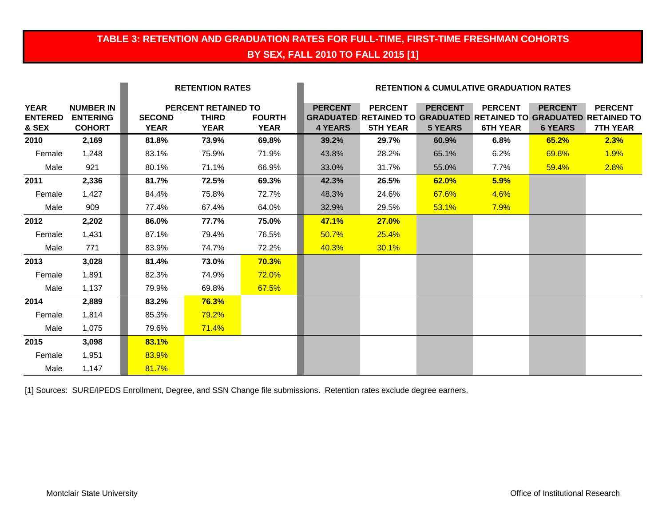# **TABLE 3: RETENTION AND GRADUATION RATES FOR FULL-TIME, FIRST-TIME FRESHMAN COHORTS BY SEX, FALL 2010 TO FALL 2015 [1]**

|                                        |                                                      |                              | <b>RETENTION RATES</b>                                    |                              | <b>RETENTION &amp; CUMULATIVE GRADUATION RATES</b> |                                   |                                  |                                   |                                  |                                                                                                               |
|----------------------------------------|------------------------------------------------------|------------------------------|-----------------------------------------------------------|------------------------------|----------------------------------------------------|-----------------------------------|----------------------------------|-----------------------------------|----------------------------------|---------------------------------------------------------------------------------------------------------------|
| <b>YEAR</b><br><b>ENTERED</b><br>& SEX | <b>NUMBER IN</b><br><b>ENTERING</b><br><b>COHORT</b> | <b>SECOND</b><br><b>YEAR</b> | <b>PERCENT RETAINED TO</b><br><b>THIRD</b><br><b>YEAR</b> | <b>FOURTH</b><br><b>YEAR</b> | <b>PERCENT</b><br><b>4 YEARS</b>                   | <b>PERCENT</b><br><b>5TH YEAR</b> | <b>PERCENT</b><br><b>5 YEARS</b> | <b>PERCENT</b><br><b>6TH YEAR</b> | <b>PERCENT</b><br><b>6 YEARS</b> | <b>PERCENT</b><br><b>GRADUATED RETAINED TO GRADUATED RETAINED TO GRADUATED RETAINED TO</b><br><b>7TH YEAR</b> |
| 2010                                   | 2,169                                                | 81.8%                        | 73.9%                                                     | 69.8%                        | 39.2%                                              | 29.7%                             | 60.9%                            | 6.8%                              | 65.2%                            | 2.3%                                                                                                          |
| Female                                 | 1,248                                                | 83.1%                        | 75.9%                                                     | 71.9%                        | 43.8%                                              | 28.2%                             | 65.1%                            | 6.2%                              | 69.6%                            | 1.9%                                                                                                          |
| Male                                   | 921                                                  | 80.1%                        | 71.1%                                                     | 66.9%                        | 33.0%                                              | 31.7%                             | 55.0%                            | 7.7%                              | 59.4%                            | 2.8%                                                                                                          |
| 2011                                   | 2,336                                                | 81.7%                        | 72.5%                                                     | 69.3%                        | 42.3%                                              | 26.5%                             | 62.0%                            | 5.9%                              |                                  |                                                                                                               |
| Female                                 | 1,427                                                | 84.4%                        | 75.8%                                                     | 72.7%                        | 48.3%                                              | 24.6%                             | 67.6%                            | 4.6%                              |                                  |                                                                                                               |
| Male                                   | 909                                                  | 77.4%                        | 67.4%                                                     | 64.0%                        | 32.9%                                              | 29.5%                             | 53.1%                            | 7.9%                              |                                  |                                                                                                               |
| 2012                                   | 2,202                                                | 86.0%                        | 77.7%                                                     | 75.0%                        | <b>47.1%</b>                                       | 27.0%                             |                                  |                                   |                                  |                                                                                                               |
| Female                                 | 1,431                                                | 87.1%                        | 79.4%                                                     | 76.5%                        | 50.7%                                              | 25.4%                             |                                  |                                   |                                  |                                                                                                               |
| Male                                   | 771                                                  | 83.9%                        | 74.7%                                                     | 72.2%                        | 40.3%                                              | 30.1%                             |                                  |                                   |                                  |                                                                                                               |
| 2013                                   | 3,028                                                | 81.4%                        | 73.0%                                                     | 70.3%                        |                                                    |                                   |                                  |                                   |                                  |                                                                                                               |
| Female                                 | 1,891                                                | 82.3%                        | 74.9%                                                     | 72.0%                        |                                                    |                                   |                                  |                                   |                                  |                                                                                                               |
| Male                                   | 1,137                                                | 79.9%                        | 69.8%                                                     | 67.5%                        |                                                    |                                   |                                  |                                   |                                  |                                                                                                               |
| 2014                                   | 2,889                                                | 83.2%                        | 76.3%                                                     |                              |                                                    |                                   |                                  |                                   |                                  |                                                                                                               |
| Female                                 | 1,814                                                | 85.3%                        | 79.2%                                                     |                              |                                                    |                                   |                                  |                                   |                                  |                                                                                                               |
| Male                                   | 1,075                                                | 79.6%                        | 71.4%                                                     |                              |                                                    |                                   |                                  |                                   |                                  |                                                                                                               |
| 2015                                   | 3,098                                                | 83.1%                        |                                                           |                              |                                                    |                                   |                                  |                                   |                                  |                                                                                                               |
| Female                                 | 1,951                                                | 83.9%                        |                                                           |                              |                                                    |                                   |                                  |                                   |                                  |                                                                                                               |
| Male                                   | 1,147                                                | 81.7%                        |                                                           |                              |                                                    |                                   |                                  |                                   |                                  |                                                                                                               |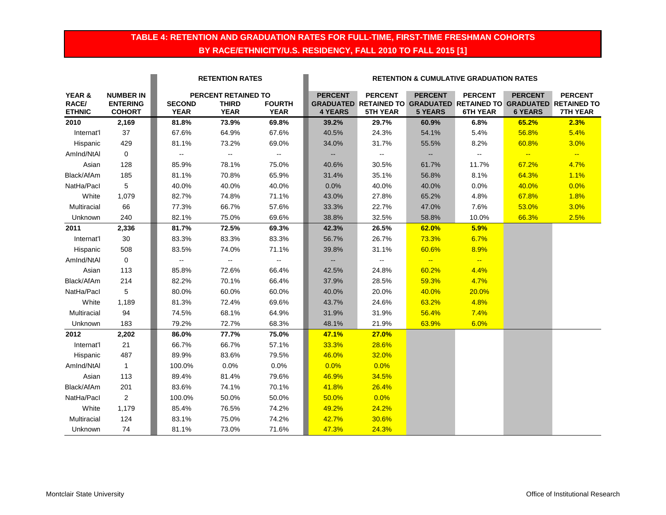### **TABLE 4: RETENTION AND GRADUATION RATES FOR FULL-TIME, FIRST-TIME FRESHMAN COHORTS BY RACE/ETHNICITY/U.S. RESIDENCY, FALL 2010 TO FALL 2015 [1]**

|               |                  | <b>RETENTION RATES</b><br><b>RETENTION &amp; CUMULATIVE GRADUATION RATES</b> |                     |                             |                |                                                                          |                |                 |                |                 |
|---------------|------------------|------------------------------------------------------------------------------|---------------------|-----------------------------|----------------|--------------------------------------------------------------------------|----------------|-----------------|----------------|-----------------|
| YEAR &        | <b>NUMBER IN</b> |                                                                              | PERCENT RETAINED TO |                             | <b>PERCENT</b> | <b>PERCENT</b>                                                           | <b>PERCENT</b> | <b>PERCENT</b>  | <b>PERCENT</b> | <b>PERCENT</b>  |
| RACE/         | <b>ENTERING</b>  | <b>SECOND</b>                                                                | <b>THIRD</b>        | <b>FOURTH</b>               |                | <b>GRADUATED RETAINED TO GRADUATED RETAINED TO GRADUATED RETAINED TO</b> |                |                 |                |                 |
| <b>ETHNIC</b> | <b>COHORT</b>    | <b>YEAR</b>                                                                  | <b>YEAR</b>         | <b>YEAR</b>                 | <b>4 YEARS</b> | <b>5TH YEAR</b>                                                          | <b>5 YEARS</b> | <b>6TH YEAR</b> | <b>6 YEARS</b> | <b>7TH YEAR</b> |
| 2010          | 2,169            | 81.8%                                                                        | 73.9%               | 69.8%                       | 39.2%          | 29.7%                                                                    | 60.9%          | 6.8%            | 65.2%          | 2.3%            |
| Internat'l    | 37               | 67.6%                                                                        | 64.9%               | 67.6%                       | 40.5%          | 24.3%                                                                    | 54.1%          | 5.4%            | 56.8%          | 5.4%            |
| Hispanic      | 429              | 81.1%                                                                        | 73.2%               | 69.0%                       | 34.0%          | 31.7%                                                                    | 55.5%          | 8.2%            | 60.8%          | 3.0%            |
| AmInd/NtAI    | $\mathbf 0$      | $\mathbb{Z}^2$                                                               | Щ,                  | $\sim$                      | Ξ.             | 4                                                                        | $\sim$         | Щ,              | $\frac{1}{2}$  | $\frac{1}{2}$   |
| Asian         | 128              | 85.9%                                                                        | 78.1%               | 75.0%                       | 40.6%          | 30.5%                                                                    | 61.7%          | 11.7%           | 67.2%          | 4.7%            |
| Black/AfAm    | 185              | 81.1%                                                                        | 70.8%               | 65.9%                       | 31.4%          | 35.1%                                                                    | 56.8%          | 8.1%            | 64.3%          | 1.1%            |
| NatHa/Pacl    | 5                | 40.0%                                                                        | 40.0%               | 40.0%                       | 0.0%           | 40.0%                                                                    | 40.0%          | 0.0%            | 40.0%          | 0.0%            |
| White         | 1,079            | 82.7%                                                                        | 74.8%               | 71.1%                       | 43.0%          | 27.8%                                                                    | 65.2%          | 4.8%            | 67.8%          | 1.8%            |
| Multiracial   | 66               | 77.3%                                                                        | 66.7%               | 57.6%                       | 33.3%          | 22.7%                                                                    | 47.0%          | 7.6%            | 53.0%          | 3.0%            |
| Unknown       | 240              | 82.1%                                                                        | 75.0%               | 69.6%                       | 38.8%          | 32.5%                                                                    | 58.8%          | 10.0%           | 66.3%          | 2.5%            |
| 2011          | 2,336            | 81.7%                                                                        | 72.5%               | 69.3%                       | 42.3%          | 26.5%                                                                    | 62.0%          | 5.9%            |                |                 |
| Internat'l    | 30               | 83.3%                                                                        | 83.3%               | 83.3%                       | 56.7%          | 26.7%                                                                    | 73.3%          | 6.7%            |                |                 |
| Hispanic      | 508              | 83.5%                                                                        | 74.0%               | 71.1%                       | 39.8%          | 31.1%                                                                    | 60.6%          | 8.9%            |                |                 |
| AmInd/NtAI    | $\mathbf 0$      | $\mathcal{L}_{\mathcal{F}}$                                                  | Щ,                  | $\mathcal{L}_{\mathcal{F}}$ | н,             | 4                                                                        | $\frac{1}{2}$  | $\frac{1}{2}$   |                |                 |
| Asian         | 113              | 85.8%                                                                        | 72.6%               | 66.4%                       | 42.5%          | 24.8%                                                                    | 60.2%          | 4.4%            |                |                 |
| Black/AfAm    | 214              | 82.2%                                                                        | 70.1%               | 66.4%                       | 37.9%          | 28.5%                                                                    | 59.3%          | 4.7%            |                |                 |
| NatHa/Pacl    | 5                | 80.0%                                                                        | 60.0%               | 60.0%                       | 40.0%          | 20.0%                                                                    | 40.0%          | 20.0%           |                |                 |
| White         | 1,189            | 81.3%                                                                        | 72.4%               | 69.6%                       | 43.7%          | 24.6%                                                                    | 63.2%          | 4.8%            |                |                 |
| Multiracial   | 94               | 74.5%                                                                        | 68.1%               | 64.9%                       | 31.9%          | 31.9%                                                                    | 56.4%          | 7.4%            |                |                 |
| Unknown       | 183              | 79.2%                                                                        | 72.7%               | 68.3%                       | 48.1%          | 21.9%                                                                    | 63.9%          | 6.0%            |                |                 |
| 2012          | 2,202            | 86.0%                                                                        | 77.7%               | 75.0%                       | 47.1%          | 27.0%                                                                    |                |                 |                |                 |
| Internat'l    | 21               | 66.7%                                                                        | 66.7%               | 57.1%                       | 33.3%          | 28.6%                                                                    |                |                 |                |                 |
| Hispanic      | 487              | 89.9%                                                                        | 83.6%               | 79.5%                       | 46.0%          | 32.0%                                                                    |                |                 |                |                 |
| AmInd/NtAI    | $\mathbf{1}$     | 100.0%                                                                       | 0.0%                | 0.0%                        | 0.0%           | 0.0%                                                                     |                |                 |                |                 |
| Asian         | 113              | 89.4%                                                                        | 81.4%               | 79.6%                       | 46.9%          | 34.5%                                                                    |                |                 |                |                 |
| Black/AfAm    | 201              | 83.6%                                                                        | 74.1%               | 70.1%                       | 41.8%          | 26.4%                                                                    |                |                 |                |                 |
| NatHa/Pacl    | $\overline{2}$   | 100.0%                                                                       | 50.0%               | 50.0%                       | 50.0%          | 0.0%                                                                     |                |                 |                |                 |
| White         | 1,179            | 85.4%                                                                        | 76.5%               | 74.2%                       | 49.2%          | 24.2%                                                                    |                |                 |                |                 |
| Multiracial   | 124              | 83.1%                                                                        | 75.0%               | 74.2%                       | 42.7%          | 30.6%                                                                    |                |                 |                |                 |
| Unknown       | 74               | 81.1%                                                                        | 73.0%               | 71.6%                       | 47.3%          | 24.3%                                                                    |                |                 |                |                 |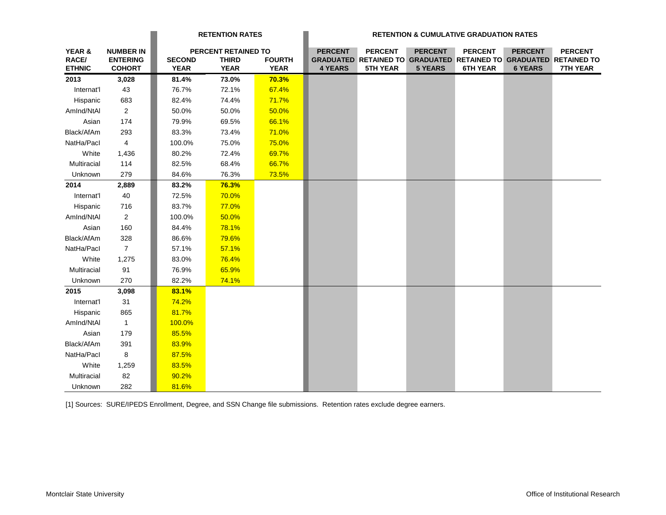|                                  |                                                      |                              | <b>RETENTION RATES</b>                             |                              | <b>RETENTION &amp; CUMULATIVE GRADUATION RATES</b> |                                                                                                               |                                  |                                   |                                  |                                   |
|----------------------------------|------------------------------------------------------|------------------------------|----------------------------------------------------|------------------------------|----------------------------------------------------|---------------------------------------------------------------------------------------------------------------|----------------------------------|-----------------------------------|----------------------------------|-----------------------------------|
| YEAR &<br>RACE/<br><b>ETHNIC</b> | <b>NUMBER IN</b><br><b>ENTERING</b><br><b>COHORT</b> | <b>SECOND</b><br><b>YEAR</b> | PERCENT RETAINED TO<br><b>THIRD</b><br><b>YEAR</b> | <b>FOURTH</b><br><b>YEAR</b> | <b>PERCENT</b><br><b>4 YEARS</b>                   | <b>PERCENT</b><br><b>GRADUATED RETAINED TO GRADUATED RETAINED TO GRADUATED RETAINED TO</b><br><b>5TH YEAR</b> | <b>PERCENT</b><br><b>5 YEARS</b> | <b>PERCENT</b><br><b>6TH YEAR</b> | <b>PERCENT</b><br><b>6 YEARS</b> | <b>PERCENT</b><br><b>7TH YEAR</b> |
| 2013                             | 3,028                                                | 81.4%                        | 73.0%                                              | 70.3%                        |                                                    |                                                                                                               |                                  |                                   |                                  |                                   |
| Internat'l                       | 43                                                   | 76.7%                        | 72.1%                                              | 67.4%                        |                                                    |                                                                                                               |                                  |                                   |                                  |                                   |
| Hispanic                         | 683                                                  | 82.4%                        | 74.4%                                              | 71.7%                        |                                                    |                                                                                                               |                                  |                                   |                                  |                                   |
| AmInd/NtAI                       | $\overline{2}$                                       | 50.0%                        | 50.0%                                              | 50.0%                        |                                                    |                                                                                                               |                                  |                                   |                                  |                                   |
| Asian                            | 174                                                  | 79.9%                        | 69.5%                                              | 66.1%                        |                                                    |                                                                                                               |                                  |                                   |                                  |                                   |
| Black/AfAm                       | 293                                                  | 83.3%                        | 73.4%                                              | 71.0%                        |                                                    |                                                                                                               |                                  |                                   |                                  |                                   |
| NatHa/Pacl                       | $\overline{4}$                                       | 100.0%                       | 75.0%                                              | 75.0%                        |                                                    |                                                                                                               |                                  |                                   |                                  |                                   |
| White                            | 1,436                                                | 80.2%                        | 72.4%                                              | 69.7%                        |                                                    |                                                                                                               |                                  |                                   |                                  |                                   |
| Multiracial                      | 114                                                  | 82.5%                        | 68.4%                                              | 66.7%                        |                                                    |                                                                                                               |                                  |                                   |                                  |                                   |
| Unknown                          | 279                                                  | 84.6%                        | 76.3%                                              | 73.5%                        |                                                    |                                                                                                               |                                  |                                   |                                  |                                   |
| 2014                             | 2,889                                                | 83.2%                        | 76.3%                                              |                              |                                                    |                                                                                                               |                                  |                                   |                                  |                                   |
| Internat'l                       | 40                                                   | 72.5%                        | 70.0%                                              |                              |                                                    |                                                                                                               |                                  |                                   |                                  |                                   |
| Hispanic                         | 716                                                  | 83.7%                        | 77.0%                                              |                              |                                                    |                                                                                                               |                                  |                                   |                                  |                                   |
| AmInd/NtAl                       | $\overline{a}$                                       | 100.0%                       | 50.0%                                              |                              |                                                    |                                                                                                               |                                  |                                   |                                  |                                   |
| Asian                            | 160                                                  | 84.4%                        | 78.1%                                              |                              |                                                    |                                                                                                               |                                  |                                   |                                  |                                   |
| Black/AfAm                       | 328                                                  | 86.6%                        | 79.6%                                              |                              |                                                    |                                                                                                               |                                  |                                   |                                  |                                   |
| NatHa/Pacl                       | $\overline{7}$                                       | 57.1%                        | 57.1%                                              |                              |                                                    |                                                                                                               |                                  |                                   |                                  |                                   |
| White                            | 1,275                                                | 83.0%                        | 76.4%                                              |                              |                                                    |                                                                                                               |                                  |                                   |                                  |                                   |
| Multiracial                      | 91                                                   | 76.9%                        | 65.9%                                              |                              |                                                    |                                                                                                               |                                  |                                   |                                  |                                   |
| Unknown                          | 270                                                  | 82.2%                        | 74.1%                                              |                              |                                                    |                                                                                                               |                                  |                                   |                                  |                                   |
| 2015                             | 3,098                                                | 83.1%                        |                                                    |                              |                                                    |                                                                                                               |                                  |                                   |                                  |                                   |
| Internat'l                       | 31                                                   | 74.2%                        |                                                    |                              |                                                    |                                                                                                               |                                  |                                   |                                  |                                   |
| Hispanic                         | 865                                                  | 81.7%                        |                                                    |                              |                                                    |                                                                                                               |                                  |                                   |                                  |                                   |
| AmInd/NtAI                       | $\overline{1}$                                       | 100.0%                       |                                                    |                              |                                                    |                                                                                                               |                                  |                                   |                                  |                                   |
| Asian                            | 179                                                  | 85.5%                        |                                                    |                              |                                                    |                                                                                                               |                                  |                                   |                                  |                                   |
| Black/AfAm                       | 391                                                  | 83.9%                        |                                                    |                              |                                                    |                                                                                                               |                                  |                                   |                                  |                                   |
| NatHa/Pacl                       | 8                                                    | 87.5%                        |                                                    |                              |                                                    |                                                                                                               |                                  |                                   |                                  |                                   |
| White                            | 1,259                                                | 83.5%                        |                                                    |                              |                                                    |                                                                                                               |                                  |                                   |                                  |                                   |
| Multiracial                      | 82                                                   | 90.2%                        |                                                    |                              |                                                    |                                                                                                               |                                  |                                   |                                  |                                   |
| Unknown                          | 282                                                  | 81.6%                        |                                                    |                              |                                                    |                                                                                                               |                                  |                                   |                                  |                                   |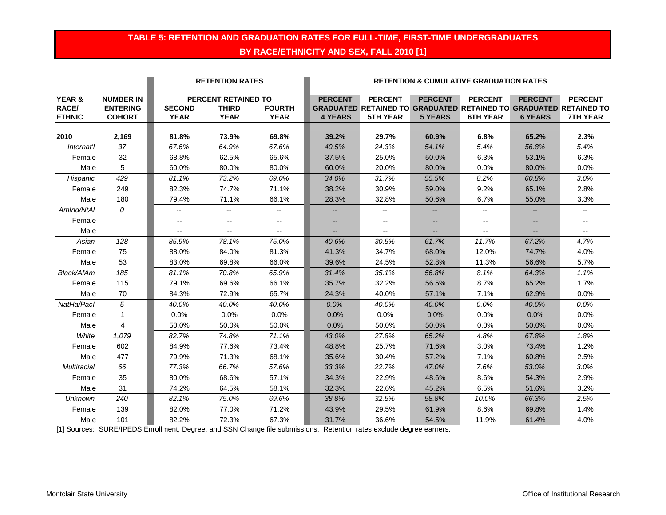### **TABLE 5: RETENTION AND GRADUATION RATES FOR FULL-TIME, FIRST-TIME UNDERGRADUATES BY RACE/ETHNICITY AND SEX, FALL 2010 [1]**

|                                             |                                                      |                              | <b>RETENTION RATES</b>                                    |                              | <b>RETENTION &amp; CUMULATIVE GRADUATION RATES</b> |                                                                                                               |                                  |                                   |                                  |                                   |
|---------------------------------------------|------------------------------------------------------|------------------------------|-----------------------------------------------------------|------------------------------|----------------------------------------------------|---------------------------------------------------------------------------------------------------------------|----------------------------------|-----------------------------------|----------------------------------|-----------------------------------|
| <b>YEAR &amp;</b><br>RACE/<br><b>ETHNIC</b> | <b>NUMBER IN</b><br><b>ENTERING</b><br><b>COHORT</b> | <b>SECOND</b><br><b>YEAR</b> | <b>PERCENT RETAINED TO</b><br><b>THIRD</b><br><b>YEAR</b> | <b>FOURTH</b><br><b>YEAR</b> | <b>PERCENT</b><br><b>4 YEARS</b>                   | <b>PERCENT</b><br><b>GRADUATED RETAINED TO GRADUATED RETAINED TO GRADUATED RETAINED TO</b><br><b>5TH YEAR</b> | <b>PERCENT</b><br><b>5 YEARS</b> | <b>PERCENT</b><br><b>6TH YEAR</b> | <b>PERCENT</b><br><b>6 YEARS</b> | <b>PERCENT</b><br><b>7TH YEAR</b> |
|                                             |                                                      |                              |                                                           |                              |                                                    |                                                                                                               |                                  |                                   |                                  |                                   |
| 2010                                        | 2,169<br>37                                          | 81.8%                        | 73.9%                                                     | 69.8%                        | 39.2%                                              | 29.7%                                                                                                         | 60.9%                            | 6.8%                              | 65.2%                            | 2.3%                              |
| Internat'l                                  |                                                      | 67.6%                        | 64.9%                                                     | 67.6%                        | 40.5%                                              | 24.3%                                                                                                         | 54.1%                            | 5.4%                              | 56.8%                            | 5.4%                              |
| Female                                      | 32                                                   | 68.8%                        | 62.5%                                                     | 65.6%                        | 37.5%                                              | 25.0%                                                                                                         | 50.0%                            | 6.3%                              | 53.1%                            | 6.3%                              |
| Male                                        | 5                                                    | 60.0%                        | 80.0%                                                     | 80.0%                        | 60.0%                                              | 20.0%                                                                                                         | 80.0%                            | 0.0%                              | 80.0%                            | 0.0%                              |
| Hispanic                                    | 429                                                  | 81.1%                        | 73.2%                                                     | 69.0%                        | 34.0%                                              | 31.7%                                                                                                         | 55.5%                            | 8.2%                              | 60.8%                            | 3.0%                              |
| Female                                      | 249                                                  | 82.3%                        | 74.7%                                                     | 71.1%                        | 38.2%                                              | 30.9%                                                                                                         | 59.0%                            | 9.2%                              | 65.1%                            | 2.8%                              |
| Male                                        | 180                                                  | 79.4%                        | 71.1%                                                     | 66.1%                        | 28.3%                                              | 32.8%                                                                                                         | 50.6%                            | 6.7%                              | 55.0%                            | 3.3%                              |
| AmInd/NtAI                                  | $\theta$                                             | $-$                          | $\overline{\phantom{a}}$                                  | --                           |                                                    | $\overline{\phantom{m}}$                                                                                      |                                  | $-$                               | --                               | --                                |
| Female                                      |                                                      | $\overline{\phantom{a}}$     | $\overline{a}$                                            | $-$                          |                                                    | $\overline{a}$                                                                                                | $-$                              | $-$                               |                                  | $-$                               |
| Male                                        |                                                      | $\overline{a}$               | $\overline{\phantom{a}}$                                  | $\overline{\phantom{a}}$     |                                                    | $\overline{a}$                                                                                                | $\overline{\phantom{a}}$         |                                   | $-$                              | $- -$                             |
| Asian                                       | 128                                                  | 85.9%                        | 78.1%                                                     | 75.0%                        | 40.6%                                              | 30.5%                                                                                                         | 61.7%                            | 11.7%                             | 67.2%                            | 4.7%                              |
| Female                                      | 75                                                   | 88.0%                        | 84.0%                                                     | 81.3%                        | 41.3%                                              | 34.7%                                                                                                         | 68.0%                            | 12.0%                             | 74.7%                            | 4.0%                              |
| Male                                        | 53                                                   | 83.0%                        | 69.8%                                                     | 66.0%                        | 39.6%                                              | 24.5%                                                                                                         | 52.8%                            | 11.3%                             | 56.6%                            | 5.7%                              |
| Black/AfAm                                  | 185                                                  | 81.1%                        | 70.8%                                                     | 65.9%                        | 31.4%                                              | 35.1%                                                                                                         | 56.8%                            | 8.1%                              | 64.3%                            | 1.1%                              |
| Female                                      | 115                                                  | 79.1%                        | 69.6%                                                     | 66.1%                        | 35.7%                                              | 32.2%                                                                                                         | 56.5%                            | 8.7%                              | 65.2%                            | 1.7%                              |
| Male                                        | 70                                                   | 84.3%                        | 72.9%                                                     | 65.7%                        | 24.3%                                              | 40.0%                                                                                                         | 57.1%                            | 7.1%                              | 62.9%                            | 0.0%                              |
| NatHa/Pacl                                  | 5                                                    | 40.0%                        | 40.0%                                                     | 40.0%                        | 0.0%                                               | 40.0%                                                                                                         | 40.0%                            | 0.0%                              | 40.0%                            | 0.0%                              |
| Female                                      | 1                                                    | 0.0%                         | 0.0%                                                      | 0.0%                         | 0.0%                                               | 0.0%                                                                                                          | 0.0%                             | 0.0%                              | 0.0%                             | 0.0%                              |
| Male                                        | 4                                                    | 50.0%                        | 50.0%                                                     | 50.0%                        | 0.0%                                               | 50.0%                                                                                                         | 50.0%                            | 0.0%                              | 50.0%                            | 0.0%                              |
| White                                       | 1,079                                                | 82.7%                        | 74.8%                                                     | 71.1%                        | 43.0%                                              | 27.8%                                                                                                         | 65.2%                            | 4.8%                              | 67.8%                            | 1.8%                              |
| Female                                      | 602                                                  | 84.9%                        | 77.6%                                                     | 73.4%                        | 48.8%                                              | 25.7%                                                                                                         | 71.6%                            | 3.0%                              | 73.4%                            | 1.2%                              |
| Male                                        | 477                                                  | 79.9%                        | 71.3%                                                     | 68.1%                        | 35.6%                                              | 30.4%                                                                                                         | 57.2%                            | 7.1%                              | 60.8%                            | 2.5%                              |
| <b>Multiracial</b>                          | 66                                                   | 77.3%                        | 66.7%                                                     | 57.6%                        | 33.3%                                              | 22.7%                                                                                                         | 47.0%                            | 7.6%                              | 53.0%                            | 3.0%                              |
| Female                                      | 35                                                   | 80.0%                        | 68.6%                                                     | 57.1%                        | 34.3%                                              | 22.9%                                                                                                         | 48.6%                            | 8.6%                              | 54.3%                            | 2.9%                              |
| Male                                        | 31                                                   | 74.2%                        | 64.5%                                                     | 58.1%                        | 32.3%                                              | 22.6%                                                                                                         | 45.2%                            | 6.5%                              | 51.6%                            | 3.2%                              |
| <b>Unknown</b>                              | 240                                                  | 82.1%                        | 75.0%                                                     | 69.6%                        | 38.8%                                              | 32.5%                                                                                                         | 58.8%                            | 10.0%                             | 66.3%                            | 2.5%                              |
| Female                                      | 139                                                  | 82.0%                        | 77.0%                                                     | 71.2%                        | 43.9%                                              | 29.5%                                                                                                         | 61.9%                            | 8.6%                              | 69.8%                            | 1.4%                              |
| Male                                        | 101                                                  | 82.2%                        | 72.3%                                                     | 67.3%                        | 31.7%                                              | 36.6%                                                                                                         | 54.5%                            | 11.9%                             | 61.4%                            | 4.0%                              |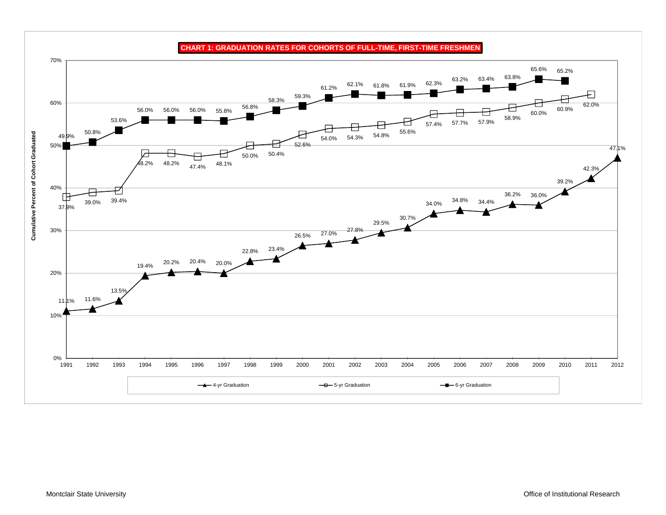

**CHART 1: GRADUATION RATES FOR COHORTS OF FULL-TIME, FIRST-TIME FRESHMEN**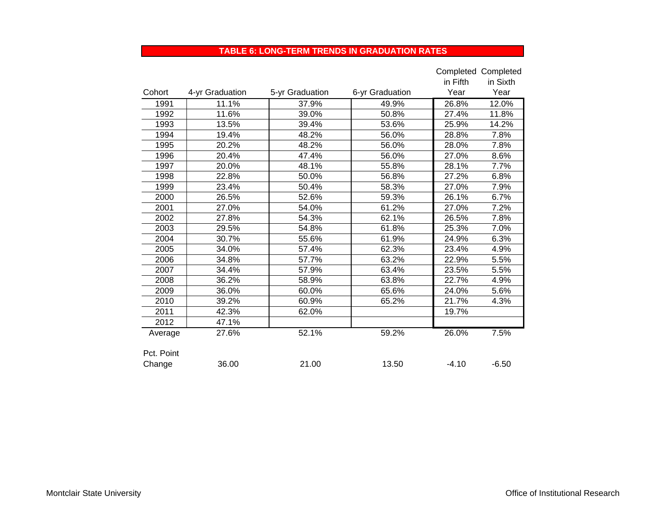#### **TABLE 6: LONG-TERM TRENDS IN GRADUATION RATES**

|            |                 |                 |                 |          | Completed Completed |
|------------|-----------------|-----------------|-----------------|----------|---------------------|
|            |                 |                 |                 | in Fifth | in Sixth            |
| Cohort     | 4-yr Graduation | 5-yr Graduation | 6-yr Graduation | Year     | Year                |
| 1991       | 11.1%           | 37.9%           | 49.9%           | 26.8%    | 12.0%               |
| 1992       | 11.6%           | 39.0%           | 50.8%           | 27.4%    | 11.8%               |
| 1993       | 13.5%           | 39.4%           | 53.6%           | 25.9%    | 14.2%               |
| 1994       | 19.4%           | 48.2%           | 56.0%           | 28.8%    | 7.8%                |
| 1995       | 20.2%           | 48.2%           | 56.0%           | 28.0%    | 7.8%                |
| 1996       | 20.4%           | 47.4%           | 56.0%           | 27.0%    | 8.6%                |
| 1997       | 20.0%           | 48.1%           | 55.8%           | 28.1%    | 7.7%                |
| 1998       | 22.8%           | 50.0%           | 56.8%           | 27.2%    | 6.8%                |
| 1999       | 23.4%           | 50.4%           | 58.3%           | 27.0%    | 7.9%                |
| 2000       | 26.5%           | 52.6%           | 59.3%           | 26.1%    | 6.7%                |
| 2001       | 27.0%           | 54.0%           | 61.2%           | 27.0%    | 7.2%                |
| 2002       | 27.8%           | 54.3%           | 62.1%           | 26.5%    | 7.8%                |
| 2003       | 29.5%           | 54.8%           | 61.8%           | 25.3%    | 7.0%                |
| 2004       | 30.7%           | 55.6%           | 61.9%           | 24.9%    | 6.3%                |
| 2005       | 34.0%           | 57.4%           | 62.3%           | 23.4%    | 4.9%                |
| 2006       | 34.8%           | 57.7%           | 63.2%           | 22.9%    | 5.5%                |
| 2007       | 34.4%           | 57.9%           | 63.4%           | 23.5%    | 5.5%                |
| 2008       | 36.2%           | 58.9%           | 63.8%           | 22.7%    | 4.9%                |
| 2009       | 36.0%           | 60.0%           | 65.6%           | 24.0%    | 5.6%                |
| 2010       | 39.2%           | 60.9%           | 65.2%           | 21.7%    | 4.3%                |
| 2011       | 42.3%           | 62.0%           |                 | 19.7%    |                     |
| 2012       | 47.1%           |                 |                 |          |                     |
| Average    | 27.6%           | 52.1%           | 59.2%           | 26.0%    | 7.5%                |
|            |                 |                 |                 |          |                     |
| Pct. Point |                 |                 |                 |          |                     |
| Change     | 36.00           | 21.00           | 13.50           | $-4.10$  | $-6.50$             |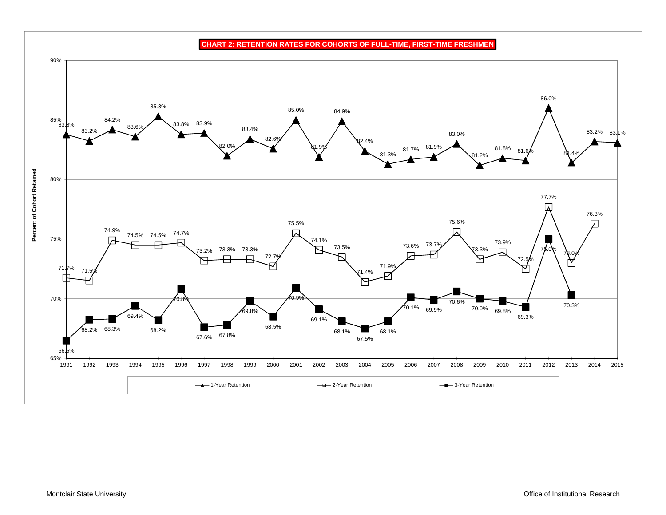**CHART 2: RETENTION RATES FOR COHORTS OF FULL-TIME, FIRST-TIME FRESHMEN**

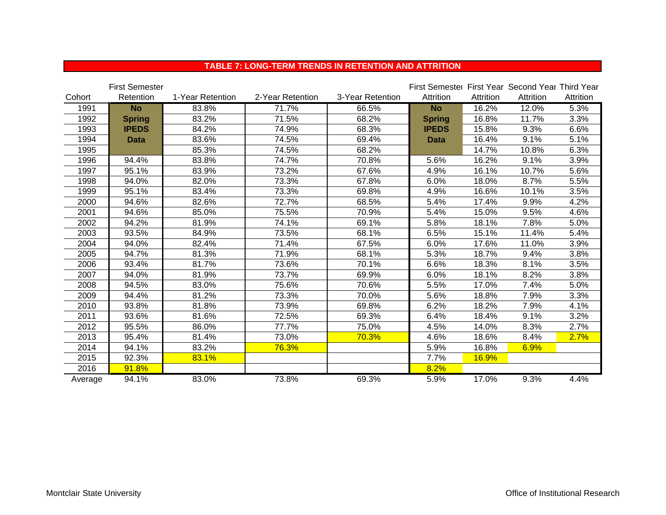|         | <b>First Semester</b> |                  |                  |                  | First Semester First Year Second Year Third Year |              |           |           |
|---------|-----------------------|------------------|------------------|------------------|--------------------------------------------------|--------------|-----------|-----------|
| Cohort  | Retention             | 1-Year Retention | 2-Year Retention | 3-Year Retention | Attrition                                        | Attrition    | Attrition | Attrition |
| 1991    | <b>No</b>             | 83.8%            | 71.7%            | 66.5%            | <b>No</b>                                        | 16.2%        | 12.0%     | 5.3%      |
| 1992    | <b>Spring</b>         | 83.2%            | 71.5%            | 68.2%            | <b>Spring</b>                                    | 16.8%        | 11.7%     | 3.3%      |
| 1993    | <b>IPEDS</b>          | 84.2%            | 74.9%            | 68.3%            | <b>IPEDS</b>                                     | 15.8%        | 9.3%      | 6.6%      |
| 1994    | <b>Data</b>           | 83.6%            | 74.5%            | 69.4%            | <b>Data</b>                                      | 16.4%        | 9.1%      | 5.1%      |
| 1995    |                       | 85.3%            | 74.5%            | 68.2%            |                                                  | 14.7%        | 10.8%     | 6.3%      |
| 1996    | 94.4%                 | 83.8%            | 74.7%            | 70.8%            | 5.6%                                             | 16.2%        | 9.1%      | 3.9%      |
| 1997    | 95.1%                 | 83.9%            | 73.2%            | 67.6%            | 4.9%                                             | 16.1%        | 10.7%     | 5.6%      |
| 1998    | 94.0%                 | 82.0%            | 73.3%            | 67.8%            | 6.0%                                             | 18.0%        | 8.7%      | 5.5%      |
| 1999    | 95.1%                 | 83.4%            | 73.3%            | 69.8%            | 4.9%                                             | 16.6%        | 10.1%     | 3.5%      |
| 2000    | 94.6%                 | 82.6%            | 72.7%            | 68.5%            | 5.4%                                             | 17.4%        | 9.9%      | 4.2%      |
| 2001    | 94.6%                 | 85.0%            | 75.5%            | 70.9%            | 5.4%                                             | 15.0%        | 9.5%      | 4.6%      |
| 2002    | 94.2%                 | 81.9%            | 74.1%            | 69.1%            | 5.8%                                             | 18.1%        | 7.8%      | 5.0%      |
| 2003    | 93.5%                 | 84.9%            | 73.5%            | 68.1%            | 6.5%                                             | 15.1%        | 11.4%     | 5.4%      |
| 2004    | 94.0%                 | 82.4%            | 71.4%            | 67.5%            | 6.0%                                             | 17.6%        | 11.0%     | 3.9%      |
| 2005    | 94.7%                 | 81.3%            | 71.9%            | 68.1%            | 5.3%                                             | 18.7%        | 9.4%      | 3.8%      |
| 2006    | 93.4%                 | 81.7%            | 73.6%            | 70.1%            | 6.6%                                             | 18.3%        | 8.1%      | 3.5%      |
| 2007    | 94.0%                 | 81.9%            | 73.7%            | 69.9%            | 6.0%                                             | 18.1%        | 8.2%      | 3.8%      |
| 2008    | 94.5%                 | 83.0%            | 75.6%            | 70.6%            | 5.5%                                             | 17.0%        | 7.4%      | 5.0%      |
| 2009    | 94.4%                 | 81.2%            | 73.3%            | 70.0%            | 5.6%                                             | 18.8%        | 7.9%      | 3.3%      |
| 2010    | 93.8%                 | 81.8%            | 73.9%            | 69.8%            | 6.2%                                             | 18.2%        | 7.9%      | 4.1%      |
| 2011    | 93.6%                 | 81.6%            | 72.5%            | 69.3%            | 6.4%                                             | 18.4%        | 9.1%      | 3.2%      |
| 2012    | 95.5%                 | 86.0%            | 77.7%            | 75.0%            | 4.5%                                             | 14.0%        | 8.3%      | 2.7%      |
| 2013    | 95.4%                 | 81.4%            | 73.0%            | 70.3%            | 4.6%                                             | 18.6%        | 8.4%      | 2.7%      |
| 2014    | 94.1%                 | 83.2%            | 76.3%            |                  | 5.9%                                             | 16.8%        | 6.9%      |           |
| 2015    | 92.3%                 | 83.1%            |                  |                  | 7.7%                                             | <b>16.9%</b> |           |           |
| 2016    | 91.8%                 |                  |                  |                  | 8.2%                                             |              |           |           |
| Average | 94.1%                 | 83.0%            | 73.8%            | 69.3%            | 5.9%                                             | 17.0%        | 9.3%      | 4.4%      |

### **TABLE 7: LONG-TERM TRENDS IN RETENTION AND ATTRITION**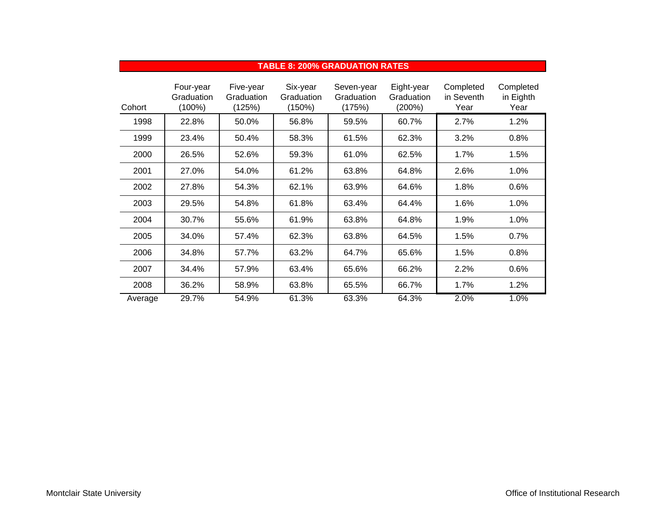|         |                                      |                                   |                                  | TABLE 8: 200% GRADUATION RATES     |                                    |                                 |                                |
|---------|--------------------------------------|-----------------------------------|----------------------------------|------------------------------------|------------------------------------|---------------------------------|--------------------------------|
| Cohort  | Four-year<br>Graduation<br>$(100\%)$ | Five-year<br>Graduation<br>(125%) | Six-year<br>Graduation<br>(150%) | Seven-year<br>Graduation<br>(175%) | Eight-year<br>Graduation<br>(200%) | Completed<br>in Seventh<br>Year | Completed<br>in Eighth<br>Year |
| 1998    | 22.8%                                | 50.0%                             | 56.8%                            | 59.5%                              | 60.7%                              | 2.7%                            | 1.2%                           |
| 1999    | 23.4%                                | 50.4%                             | 58.3%                            | 61.5%                              | 62.3%                              | 3.2%                            | 0.8%                           |
| 2000    | 26.5%                                | 52.6%                             | 59.3%                            | 61.0%                              | 62.5%                              | 1.7%                            | 1.5%                           |
| 2001    | 27.0%                                | 54.0%                             | 61.2%                            | 63.8%                              | 64.8%                              | 2.6%                            | 1.0%                           |
| 2002    | 27.8%                                | 54.3%                             | 62.1%                            | 63.9%                              | 64.6%                              | 1.8%                            | 0.6%                           |
| 2003    | 29.5%                                | 54.8%                             | 61.8%                            | 63.4%                              | 64.4%                              | 1.6%                            | 1.0%                           |
| 2004    | 30.7%                                | 55.6%                             | 61.9%                            | 63.8%                              | 64.8%                              | 1.9%                            | 1.0%                           |
| 2005    | 34.0%                                | 57.4%                             | 62.3%                            | 63.8%                              | 64.5%                              | 1.5%                            | 0.7%                           |
| 2006    | 34.8%                                | 57.7%                             | 63.2%                            | 64.7%                              | 65.6%                              | 1.5%                            | 0.8%                           |
| 2007    | 34.4%                                | 57.9%                             | 63.4%                            | 65.6%                              | 66.2%                              | 2.2%                            | 0.6%                           |
| 2008    | 36.2%                                | 58.9%                             | 63.8%                            | 65.5%                              | 66.7%                              | 1.7%                            | 1.2%                           |
| Average | 29.7%                                | 54.9%                             | 61.3%                            | 63.3%                              | 64.3%                              | 2.0%                            | 1.0%                           |

#### **TABLE 8: 200% GRADUATION RATES**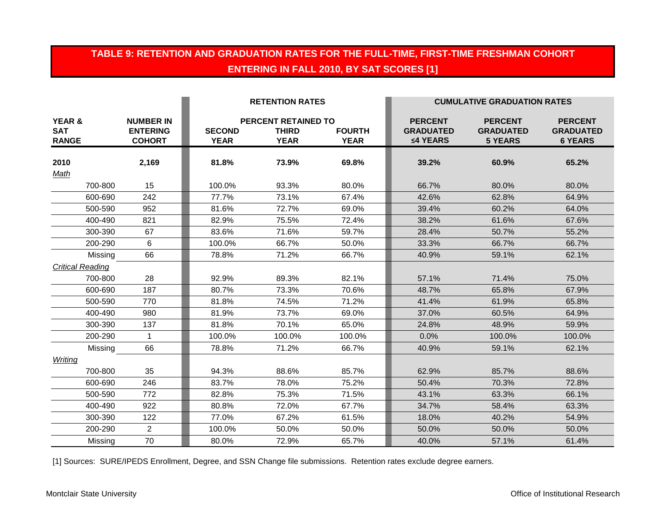# **TABLE 9: RETENTION AND GRADUATION RATES FOR THE FULL-TIME, FIRST-TIME FRESHMAN COHORT ENTERING IN FALL 2010, BY SAT SCORES [1]**

|                                                 |                                                      |                              | <b>RETENTION RATES</b>                                    |                              |                                                | <b>CUMULATIVE GRADUATION RATES</b>                   |                                                      |
|-------------------------------------------------|------------------------------------------------------|------------------------------|-----------------------------------------------------------|------------------------------|------------------------------------------------|------------------------------------------------------|------------------------------------------------------|
| <b>YEAR &amp;</b><br><b>SAT</b><br><b>RANGE</b> | <b>NUMBER IN</b><br><b>ENTERING</b><br><b>COHORT</b> | <b>SECOND</b><br><b>YEAR</b> | <b>PERCENT RETAINED TO</b><br><b>THIRD</b><br><b>YEAR</b> | <b>FOURTH</b><br><b>YEAR</b> | <b>PERCENT</b><br><b>GRADUATED</b><br>≤4 YEARS | <b>PERCENT</b><br><b>GRADUATED</b><br><b>5 YEARS</b> | <b>PERCENT</b><br><b>GRADUATED</b><br><b>6 YEARS</b> |
| 2010<br>Math                                    | 2,169                                                | 81.8%                        | 73.9%                                                     | 69.8%                        | 39.2%                                          | 60.9%                                                | 65.2%                                                |
| 700-800                                         | 15                                                   | 100.0%                       | 93.3%                                                     | 80.0%                        | 66.7%                                          | 80.0%                                                | 80.0%                                                |
| 600-690                                         | 242                                                  | 77.7%                        | 73.1%                                                     | 67.4%                        | 42.6%                                          | 62.8%                                                | 64.9%                                                |
| 500-590                                         | 952                                                  | 81.6%                        | 72.7%                                                     | 69.0%                        | 39.4%                                          | 60.2%                                                | 64.0%                                                |
| 400-490                                         | 821                                                  | 82.9%                        | 75.5%                                                     | 72.4%                        | 38.2%                                          | 61.6%                                                | 67.6%                                                |
| 300-390                                         | 67                                                   | 83.6%                        | 71.6%                                                     | 59.7%                        | 28.4%                                          | 50.7%                                                | 55.2%                                                |
| 200-290                                         | 6                                                    | 100.0%                       | 66.7%                                                     | 50.0%                        | 33.3%                                          | 66.7%                                                | 66.7%                                                |
| Missing                                         | 66                                                   | 78.8%                        | 71.2%                                                     | 66.7%                        | 40.9%                                          | 59.1%                                                | 62.1%                                                |
| <b>Critical Reading</b>                         |                                                      |                              |                                                           |                              |                                                |                                                      |                                                      |
| 700-800                                         | 28                                                   | 92.9%                        | 89.3%                                                     | 82.1%                        | 57.1%                                          | 71.4%                                                | 75.0%                                                |
| 600-690                                         | 187                                                  | 80.7%                        | 73.3%                                                     | 70.6%                        | 48.7%                                          | 65.8%                                                | 67.9%                                                |
| 500-590                                         | 770                                                  | 81.8%                        | 74.5%                                                     | 71.2%                        | 41.4%                                          | 61.9%                                                | 65.8%                                                |
| 400-490                                         | 980                                                  | 81.9%                        | 73.7%                                                     | 69.0%                        | 37.0%                                          | 60.5%                                                | 64.9%                                                |
| 300-390                                         | 137                                                  | 81.8%                        | 70.1%                                                     | 65.0%                        | 24.8%                                          | 48.9%                                                | 59.9%                                                |
| 200-290                                         | $\mathbf 1$                                          | 100.0%                       | 100.0%                                                    | 100.0%                       | 0.0%                                           | 100.0%                                               | 100.0%                                               |
| Missing                                         | 66                                                   | 78.8%                        | 71.2%                                                     | 66.7%                        | 40.9%                                          | 59.1%                                                | 62.1%                                                |
| Writing                                         |                                                      |                              |                                                           |                              |                                                |                                                      |                                                      |
| 700-800                                         | 35                                                   | 94.3%                        | 88.6%                                                     | 85.7%                        | 62.9%                                          | 85.7%                                                | 88.6%                                                |
| 600-690                                         | 246                                                  | 83.7%                        | 78.0%                                                     | 75.2%                        | 50.4%                                          | 70.3%                                                | 72.8%                                                |
| 500-590                                         | 772                                                  | 82.8%                        | 75.3%                                                     | 71.5%                        | 43.1%                                          | 63.3%                                                | 66.1%                                                |
| 400-490                                         | 922                                                  | 80.8%                        | 72.0%                                                     | 67.7%                        | 34.7%                                          | 58.4%                                                | 63.3%                                                |
| 300-390                                         | 122                                                  | 77.0%                        | 67.2%                                                     | 61.5%                        | 18.0%                                          | 40.2%                                                | 54.9%                                                |
| 200-290                                         | $\overline{2}$                                       | 100.0%                       | 50.0%                                                     | 50.0%                        | 50.0%                                          | 50.0%                                                | 50.0%                                                |
| Missing                                         | 70                                                   | 80.0%                        | 72.9%                                                     | 65.7%                        | 40.0%                                          | 57.1%                                                | 61.4%                                                |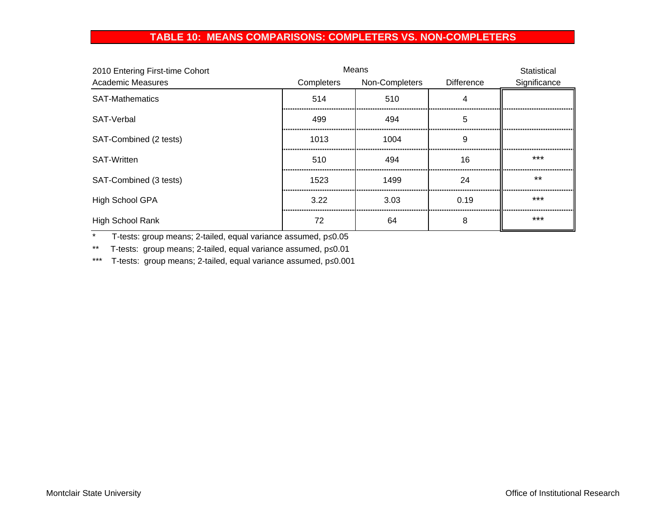### **TABLE 10: MEANS COMPARISONS: COMPLETERS VS. NON-COMPLETERS**

| 2010 Entering First-time Cohort |            | Means          |                   | Statistical  |
|---------------------------------|------------|----------------|-------------------|--------------|
| <b>Academic Measures</b>        | Completers | Non-Completers | <b>Difference</b> | Significance |
| <b>SAT-Mathematics</b>          | 514        | 510            |                   |              |
| SAT-Verbal                      | 499        | 494            | 5                 |              |
| SAT-Combined (2 tests)          | 1013       | 1004           | 9                 |              |
| <b>SAT-Written</b>              | 510        | 494            | 16                | ***          |
| SAT-Combined (3 tests)          | 1523       | 1499           | 24                | $***$        |
| <b>High School GPA</b>          | 3.22       | 3.03           | 0.19              | ***          |
| High School Rank                | 72         | 64             | 8                 | $***$        |

\* T-tests: group means; 2-tailed, equal variance assumed, p≤0.05

\*\* T-tests: group means; 2-tailed, equal variance assumed, p≤0.01

\*\*\* T-tests: group means; 2-tailed, equal variance assumed, p≤0.001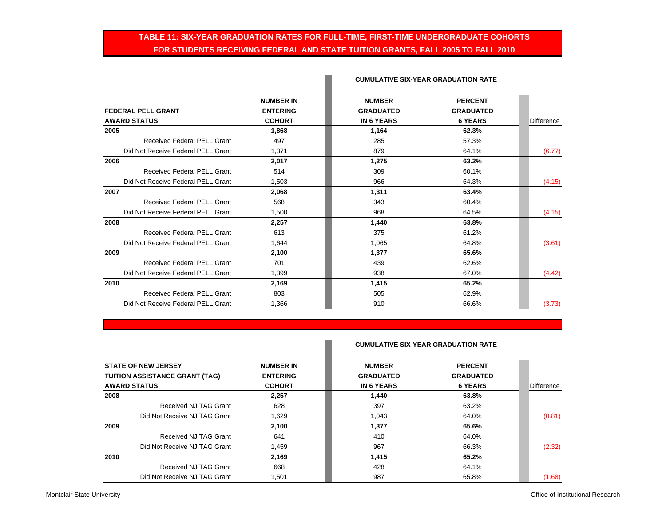### **TABLE 11: SIX-YEAR GRADUATION RATES FOR FULL-TIME, FIRST-TIME UNDERGRADUATE COHORTS FOR STUDENTS RECEIVING FEDERAL AND STATE TUITION GRANTS, FALL 2005 TO FALL 2010**

L

|                                    | <b>NUMBER IN</b> | <b>NUMBER</b>     | <b>PERCENT</b>   |            |
|------------------------------------|------------------|-------------------|------------------|------------|
| <b>FEDERAL PELL GRANT</b>          | <b>ENTERING</b>  | <b>GRADUATED</b>  | <b>GRADUATED</b> |            |
| <b>AWARD STATUS</b>                | <b>COHORT</b>    | <b>IN 6 YEARS</b> | <b>6 YEARS</b>   | Difference |
| 2005                               | 1.868            | 1,164             | 62.3%            |            |
| <b>Received Federal PELL Grant</b> | 497              | 285               | 57.3%            |            |
| Did Not Receive Federal PELL Grant | 1,371            | 879               | 64.1%            | (6.77)     |
| 2006                               | 2.017            | 1,275             | 63.2%            |            |
| <b>Received Federal PELL Grant</b> | 514              | 309               | 60.1%            |            |
| Did Not Receive Federal PELL Grant | 1,503            | 966               | 64.3%            | (4.15)     |
| 2007                               | 2.068            | 1,311             | 63.4%            |            |
| Received Federal PELL Grant        | 568              | 343               | 60.4%            |            |
| Did Not Receive Federal PELL Grant | 1.500            | 968               | 64.5%            | (4.15)     |
| 2008                               | 2.257            | 1,440             | 63.8%            |            |
| <b>Received Federal PELL Grant</b> | 613              | 375               | 61.2%            |            |
| Did Not Receive Federal PELL Grant | 1.644            | 1,065             | 64.8%            | (3.61)     |
| 2009                               | 2,100            | 1,377             | 65.6%            |            |
| <b>Received Federal PELL Grant</b> | 701              | 439               | 62.6%            |            |
| Did Not Receive Federal PELL Grant | 1.399            | 938               | 67.0%            | (4.42)     |
| 2010                               | 2.169            | 1,415             | 65.2%            |            |
| <b>Received Federal PELL Grant</b> | 803              | 505               | 62.9%            |            |
| Did Not Receive Federal PELL Grant | 1.366            | 910               | 66.6%            | (3.73)     |

#### **CUMULATIVE SIX-YEAR GRADUATION RATE**

#### **CUMULATIVE SIX-YEAR GRADUATION RATE**

| <b>STATE OF NEW JERSEY</b><br><b>TUITION ASSISTANCE GRANT (TAG)</b> | <b>NUMBER IN</b><br><b>ENTERING</b> | <b>NUMBER</b><br><b>GRADUATED</b> | <b>PERCENT</b><br><b>GRADUATED</b> |            |
|---------------------------------------------------------------------|-------------------------------------|-----------------------------------|------------------------------------|------------|
| <b>AWARD STATUS</b>                                                 | <b>COHORT</b>                       | <b>IN 6 YEARS</b>                 | <b>6 YEARS</b>                     | Difference |
| 2008                                                                | 2,257                               | 1.440                             | 63.8%                              |            |
| Received NJ TAG Grant                                               | 628                                 | 397                               | 63.2%                              |            |
| Did Not Receive NJ TAG Grant                                        | 1.629                               | 1.043                             | 64.0%                              | (0.81)     |
| 2009                                                                | 2.100                               | 1,377                             | 65.6%                              |            |
| Received NJ TAG Grant                                               | 641                                 | 410                               | 64.0%                              |            |
| Did Not Receive NJ TAG Grant                                        | 1,459                               | 967                               | 66.3%                              | (2.32)     |
| 2010                                                                | 2,169                               | 1,415                             | 65.2%                              |            |
| Received NJ TAG Grant                                               | 668                                 | 428                               | 64.1%                              |            |
| Did Not Receive NJ TAG Grant                                        | 1,501                               | 987                               | 65.8%                              | (1.68)     |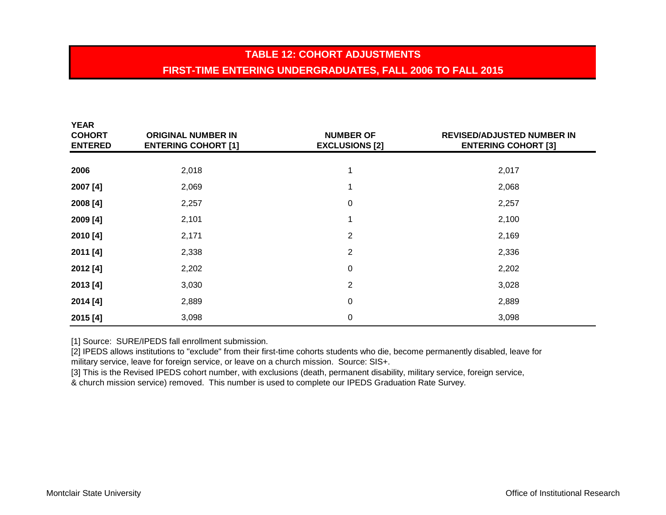# **TABLE 12: COHORT ADJUSTMENTS FIRST-TIME ENTERING UNDERGRADUATES, FALL 2006 TO FALL 2015**

| <b>YEAR</b><br><b>COHORT</b><br><b>ENTERED</b> | <b>ORIGINAL NUMBER IN</b><br><b>ENTERING COHORT [1]</b> | <b>NUMBER OF</b><br><b>EXCLUSIONS [2]</b> | <b>REVISED/ADJUSTED NUMBER IN</b><br><b>ENTERING COHORT [3]</b> |
|------------------------------------------------|---------------------------------------------------------|-------------------------------------------|-----------------------------------------------------------------|
|                                                |                                                         |                                           |                                                                 |
| 2006                                           | 2,018                                                   |                                           | 2,017                                                           |
| 2007 [4]                                       | 2,069                                                   |                                           | 2,068                                                           |
| 2008 [4]                                       | 2,257                                                   | $\pmb{0}$                                 | 2,257                                                           |
| 2009 [4]                                       | 2,101                                                   | ◢                                         | 2,100                                                           |
| 2010 [4]                                       | 2,171                                                   | $\overline{2}$                            | 2,169                                                           |
| 2011 [4]                                       | 2,338                                                   | $\overline{2}$                            | 2,336                                                           |
| 2012 [4]                                       | 2,202                                                   | $\pmb{0}$                                 | 2,202                                                           |
| 2013 [4]                                       | 3,030                                                   | $\overline{2}$                            | 3,028                                                           |
| 2014 [4]                                       | 2,889                                                   | 0                                         | 2,889                                                           |
| 2015 [4]                                       | 3,098                                                   | 0                                         | 3,098                                                           |

[1] Source: SURE/IPEDS fall enrollment submission.

[2] IPEDS allows institutions to "exclude" from their first-time cohorts students who die, become permanently disabled, leave for military service, leave for foreign service, or leave on a church mission. Source: SIS+.

[3] This is the Revised IPEDS cohort number, with exclusions (death, permanent disability, military service, foreign service,

& church mission service) removed. This number is used to complete our IPEDS Graduation Rate Survey.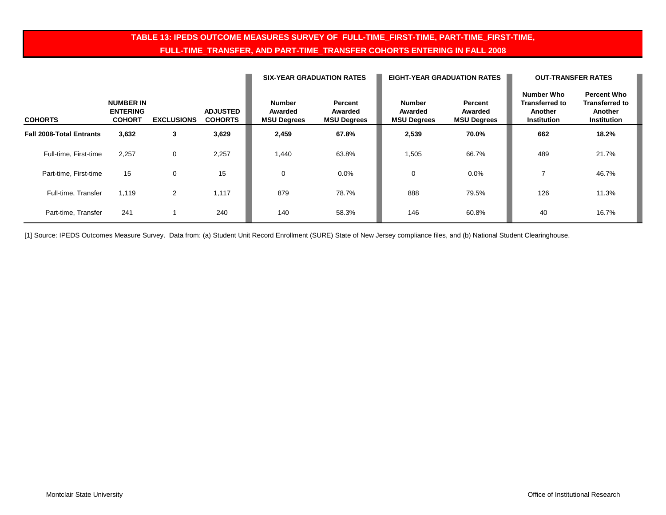### **TABLE 13: IPEDS OUTCOME MEASURES SURVEY OF FULL-TIME\_FIRST-TIME, PART-TIME\_FIRST-TIME, FULL-TIME\_TRANSFER, AND PART-TIME\_TRANSFER COHORTS ENTERING IN FALL 2008**

|                                 |                                                      |                   |                                   | <b>SIX-YEAR GRADUATION RATES</b>               |                                          |                                                | <b>EIGHT-YEAR GRADUATION RATES</b>       | <b>OUT-TRANSFER RATES</b>                                     |                                                                              |
|---------------------------------|------------------------------------------------------|-------------------|-----------------------------------|------------------------------------------------|------------------------------------------|------------------------------------------------|------------------------------------------|---------------------------------------------------------------|------------------------------------------------------------------------------|
| <b>COHORTS</b>                  | <b>NUMBER IN</b><br><b>ENTERING</b><br><b>COHORT</b> | <b>EXCLUSIONS</b> | <b>ADJUSTED</b><br><b>COHORTS</b> | <b>Number</b><br>Awarded<br><b>MSU Degrees</b> | Percent<br>Awarded<br><b>MSU Degrees</b> | <b>Number</b><br>Awarded<br><b>MSU Degrees</b> | Percent<br>Awarded<br><b>MSU Degrees</b> | Number Who<br><b>Transferred to</b><br>Another<br>Institution | <b>Percent Who</b><br><b>Transferred to</b><br>Another<br><b>Institution</b> |
| <b>Fall 2008-Total Entrants</b> | 3,632                                                | 3                 | 3,629                             | 2,459                                          | 67.8%                                    | 2,539                                          | 70.0%                                    | 662                                                           | 18.2%                                                                        |
| Full-time, First-time           | 2,257                                                | 0                 | 2,257                             | 1,440                                          | 63.8%                                    | 1,505                                          | 66.7%                                    | 489                                                           | 21.7%                                                                        |
| Part-time, First-time           | 15                                                   | 0                 | 15                                | 0                                              | $0.0\%$                                  | 0                                              | 0.0%                                     |                                                               | 46.7%                                                                        |
| Full-time, Transfer             | 1.119                                                | 2                 | 1,117                             | 879                                            | 78.7%                                    | 888                                            | 79.5%                                    | 126                                                           | 11.3%                                                                        |
| Part-time, Transfer             | 241                                                  |                   | 240                               | 140                                            | 58.3%                                    | 146                                            | 60.8%                                    | 40                                                            | 16.7%                                                                        |

[1] Source: IPEDS Outcomes Measure Survey. Data from: (a) Student Unit Record Enrollment (SURE) State of New Jersey compliance files, and (b) National Student Clearinghouse.